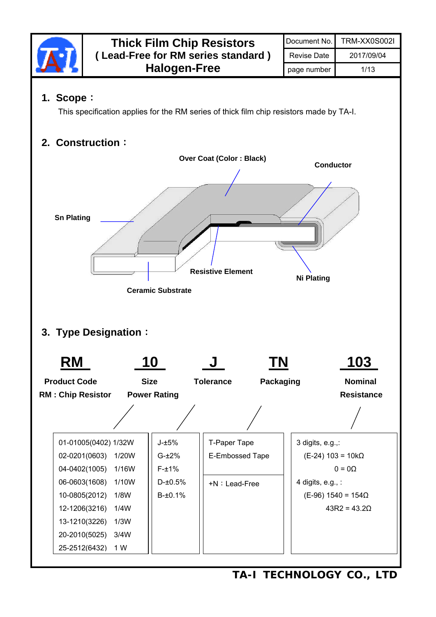

**TA-I TECHNOLOGY CO., LTD**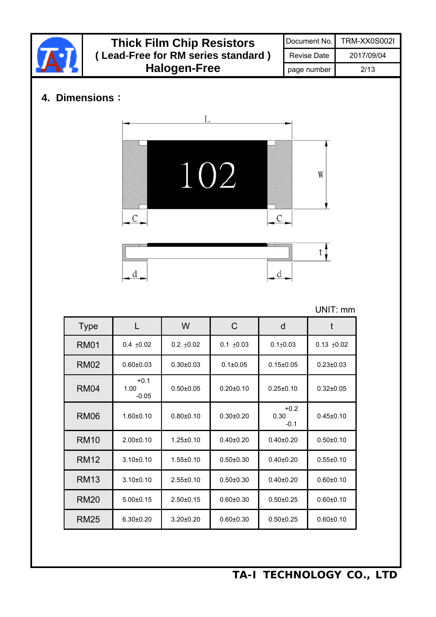|                | <b>Thick Film Chip Resistors</b> |                     |                                    |                 | Document No.              | <b>TRM-XX0S002I</b> |
|----------------|----------------------------------|---------------------|------------------------------------|-----------------|---------------------------|---------------------|
|                |                                  |                     | (Lead-Free for RM series standard) |                 | <b>Revise Date</b>        | 2017/09/04          |
|                |                                  | <b>Halogen-Free</b> |                                    |                 | page number               | 2/13                |
| 4. Dimensions: |                                  | L                   |                                    |                 |                           |                     |
|                | С                                | 102                 |                                    | $\mathcal{C}$   | W                         |                     |
|                | d                                |                     |                                    | d               |                           |                     |
|                |                                  |                     |                                    |                 |                           | UNIT: mm            |
| <b>Type</b>    |                                  | W                   | $\mathsf{C}$                       | $\mathsf{d}$    | t                         |                     |
| <b>RM01</b>    | $0.4 \pm 0.02$                   | $0.2 \pm 0.02$      | $0.1 \pm 0.03$                     | $0.1 + 0.03$    | $0.13 \pm 0.02$           |                     |
| <b>RM02</b>    | $0.60 \pm 0.03$                  | $0.30 \pm 0.03$     | $0.1 \pm 0.05$                     | $0.15 \pm 0.05$ | $0.23 \pm 0.03$           |                     |
| <b>RM04</b>    | $+0.1$<br>1.00<br>$-0.05$        | $0.50 \pm 0.05$     | $0.20 \pm 0.10$                    | $0.25 \pm 0.10$ | $0.32 \pm 0.05$           |                     |
| <b>RM06</b>    | $1.60 \pm 0.10$                  | $0.80 + 0.10$       | $0.30 \pm 0.20$                    | 0.30<br>$-0.1$  | $+0.2$<br>$0.45 \pm 0.10$ |                     |
| <b>RM10</b>    | $2.00 \pm 0.10$                  | $1.25 \pm 0.10$     | $0.40 \pm 0.20$                    | $0.40 \pm 0.20$ | $0.50 \pm 0.10$           |                     |
| <b>RM12</b>    | $3.10 \pm 0.10$                  | $1.55 \pm 0.10$     | $0.50 \pm 0.30$                    | $0.40 \pm 0.20$ | $0.55 \pm 0.10$           |                     |
| <b>RM13</b>    | $3.10 \pm 0.10$                  | $2.55 \pm 0.10$     | $0.50 \pm 0.30$                    | $0.40 \pm 0.20$ | $0.60 \pm 0.10$           |                     |
| <b>RM20</b>    | $5.00 \pm 0.15$                  | $2.50 \pm 0.15$     | $0.60 \pm 0.30$                    | $0.50 \pm 0.25$ | $0.60 \pm 0.10$           |                     |
| <b>RM25</b>    | $6.30 \pm 0.20$                  | $3.20 \pm 0.20$     | $0.60 \pm 0.30$                    | $0.50 \pm 0.25$ | $0.60 \pm 0.10$           |                     |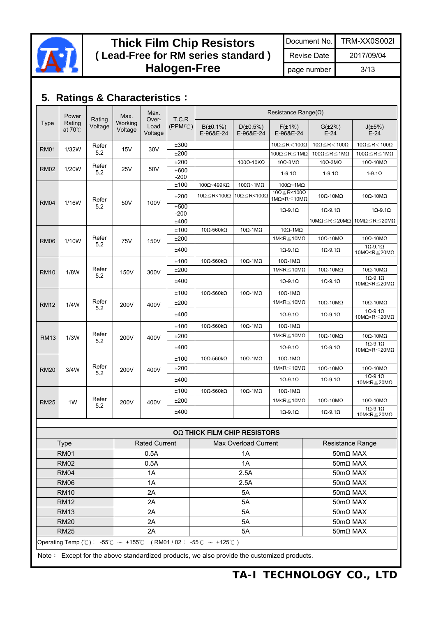

## **Thick Film Chip Resistors ( Lead**-**Free for RM series standard ) Halogen-Free**

Document No. TRM-XX0S002I

Revise Date 2017/09/04

page number 3/13

# **5. Ratings & Characteristics**:

|             | Power                       |                   | Max.               | Max.<br>Over-   | T.C.R               |                               |                               | Resistance Range( $\Omega$ )                                    |                                                |                                                                                   |                        |
|-------------|-----------------------------|-------------------|--------------------|-----------------|---------------------|-------------------------------|-------------------------------|-----------------------------------------------------------------|------------------------------------------------|-----------------------------------------------------------------------------------|------------------------|
| <b>Type</b> | Rating<br>at $70^{\circ}$ C | Rating<br>Voltage | Working<br>Voltage | Load<br>Voltage | $(PPM/\mathcal{C})$ | $B(\pm 0.1\%)$<br>E-96&E-24   | D(±0.5%)<br>E-96&E-24         | $F(\pm 1\%)$<br>E-96&E-24                                       | $G(\pm 2\%)$<br>$E-24$                         | $J(\pm 5\%)$<br>$E-24$                                                            |                        |
| <b>RM01</b> | 1/32W                       | Refer             | 15V                | 30V             | ±300                |                               |                               | $10\Omega \le R < 100\Omega$                                    | $10\Omega\!\leq\!R\!<\!100\Omega$              | $10\Omega \le R < 100\Omega$                                                      |                        |
|             |                             | 5.2               |                    |                 | ±200                |                               |                               | 100Ω≦R≦1MΩ                                                      | $100\Omega \le R \le 1M\Omega$                 | 100 $\Omega \le R \le 1M\Omega$                                                   |                        |
|             |                             | Refer             |                    |                 | ±200                |                               | $100\Omega - 10K\Omega$       | $10\Omega$ -3M $\Omega$                                         | $10\Omega - 3M\Omega$                          | $10\Omega - 10M\Omega$                                                            |                        |
| <b>RM02</b> | 1/20W                       | 5.2               | 25V                | 50V             | $+600$<br>$-200$    |                               |                               | $1-9.1\Omega$                                                   | $1-9.1\Omega$                                  | $1-9.1\Omega$                                                                     |                        |
|             |                             |                   |                    |                 | ±100                | 100Ω~499ΚΩ                    | $100\Omega$ ~1M $\Omega$      | $100\Omega$ ~1M $\Omega$                                        |                                                |                                                                                   |                        |
| <b>RM04</b> | 1/16W                       | Refer<br>50V      |                    | 100V            | ±200                | $10\Omega \leq R < 100\Omega$ | $10\Omega \leq R < 100\Omega$ | $10\Omega \leq R < 100\Omega$<br>$1M\Omega \le R \le 10M\Omega$ | $10\Omega - 10M\Omega$                         | $10\Omega - 10M\Omega$                                                            |                        |
|             |                             | 5.2               |                    |                 | $+500$<br>$-200$    |                               |                               | $1\Omega - 9.1\Omega$                                           | $1\Omega - 9.1\Omega$                          | $1\Omega - 9.1\Omega$                                                             |                        |
|             |                             |                   |                    |                 | ±400                |                               |                               |                                                                 | 10M $\Omega \le R \le 20M\Omega$               | 10M $\Omega \le R \le 20M\Omega$                                                  |                        |
|             |                             |                   |                    |                 | ±100                | $10\Omega - 560k\Omega$       | $10\Omega - 1M\Omega$         | $10\Omega - 1 \text{M}\Omega$                                   |                                                |                                                                                   |                        |
| <b>RM06</b> | 1/10W                       | Refer<br>5.2      | 75V                |                 | 150V                | ±200                          |                               |                                                                 | 1M <r<math>\leq10M<math>\Omega</math></r<math> | $10\Omega - 10M\Omega$                                                            | $10\Omega - 10M\Omega$ |
|             |                             |                   |                    |                 | ±400                |                               |                               | $1\Omega - 9.1\Omega$                                           | $1\Omega - 9.1\Omega$                          | $1\Omega - 9.1\Omega$<br>10M $\Omega$ <r<math>\leq20M<math>\Omega</math></r<math> |                        |
|             |                             |                   | 150V<br>5.2        |                 | ±100                | $10\Omega - 560k\Omega$       | $10\Omega - 1M\Omega$         | $10\Omega - 1 \text{M}\Omega$                                   |                                                |                                                                                   |                        |
| <b>RM10</b> | 1/8W                        | Refer             |                    | 300V            | ±200                |                               |                               | 1M <r<math>\leq10M<math>\Omega</math></r<math>                  | $10\Omega - 10M\Omega$                         | $10\Omega - 10M\Omega$                                                            |                        |
|             |                             |                   |                    |                 | ±400                |                               |                               | $1\Omega - 9.1\Omega$                                           | $1\Omega - 9.1\Omega$                          | $1\Omega - 9.1\Omega$<br>10M $\Omega$ <r<math>\leq20M<math>\Omega</math></r<math> |                        |
|             |                             |                   |                    |                 | ±100                | $10\Omega - 560k\Omega$       | $10\Omega - 1M\Omega$         | $10\Omega - 1 \text{M}\Omega$                                   |                                                |                                                                                   |                        |
| <b>RM12</b> | 1/4W                        | Refer             | 200V               | 400V            | ±200                |                               |                               | 1M <r<math>\leq10M<math>\Omega</math></r<math>                  | $10\Omega - 10M\Omega$                         | $10\Omega - 10M\Omega$                                                            |                        |
|             |                             | 5.2               |                    |                 | ±400                |                               |                               | $1\Omega - 9.1\Omega$                                           | $1\Omega - 9.1\Omega$                          | $1\Omega - 9.1\Omega$<br>10M $\Omega$ < R $\leq$ 20M $\Omega$                     |                        |
|             |                             |                   |                    |                 | ±100                | $10\Omega - 560k\Omega$       | $10\Omega - 1M\Omega$         | $10\Omega - 1 \text{M}\Omega$                                   |                                                |                                                                                   |                        |
| <b>RM13</b> | 1/3W                        | Refer             | 200V               | 400V            | ±200                |                               |                               | 1M <r<math>\leq10M<math>\Omega</math></r<math>                  | $10\Omega - 10M\Omega$                         | $10\Omega - 10M\Omega$                                                            |                        |
|             |                             | 5.2               |                    |                 | ±400                |                               |                               | $1\Omega - 9.1\Omega$                                           | $1\Omega - 9.1\Omega$                          | $1\Omega - 9.1\Omega$<br>10M $\Omega$ <r<math>\leq20M<math>\Omega</math></r<math> |                        |
|             |                             |                   |                    |                 | ±100                | $10\Omega - 560k\Omega$       | $10\Omega - 1M\Omega$         | $10\Omega - 1M\Omega$                                           |                                                |                                                                                   |                        |
| <b>RM20</b> | 3/4W                        | Refer<br>5.2      | 200V               | 400V            | ±200                |                               |                               | 1M <r<math>\leq10M<math>\Omega</math></r<math>                  | $10\Omega - 10\text{M}\Omega$                  | $10\Omega - 10M\Omega$                                                            |                        |
|             |                             |                   |                    |                 | ±400                |                               |                               | $1\Omega - 9.1\Omega$                                           | $1\Omega - 9.1\Omega$                          | $1\Omega - 9.1\Omega$<br>10M <r<math>\leq20M<math>\Omega</math></r<math>          |                        |
|             |                             |                   |                    |                 | ±100                | $10\Omega - 560k\Omega$       | $10\Omega - 1M\Omega$         | $10\Omega - 1M\Omega$                                           |                                                |                                                                                   |                        |
| <b>RM25</b> | 1W                          | Refer             | 200V               | 400V            | ±200                |                               |                               | 1M <r<math>\leq10M<math>\Omega</math></r<math>                  | $10\Omega - 10M\Omega$                         | $10\Omega - 10M\Omega$                                                            |                        |
|             | 5.2                         |                   |                    |                 | ±400                |                               |                               | $1\Omega - 9.1\Omega$                                           | $1\Omega - 9.1\Omega$                          | $1\Omega - 9.1\Omega$<br>10M <r<math>\leq20M<math>\Omega</math></r<math>          |                        |

|                  |                                                               | <b>OQ THICK FILM CHIP RESISTORS</b> |                     |  |  |  |  |  |  |
|------------------|---------------------------------------------------------------|-------------------------------------|---------------------|--|--|--|--|--|--|
| Type             | <b>Rated Current</b>                                          | Max Overload Current                | Resistance Range    |  |  |  |  |  |  |
| <b>RM01</b>      | 0.5A                                                          | 1A                                  | $50 \text{mA}$ MAX  |  |  |  |  |  |  |
| <b>RM02</b>      | 0.5A                                                          | 1A                                  | $50 \text{mA}$ MAX  |  |  |  |  |  |  |
| <b>RM04</b>      | 1A                                                            | 2.5A                                | $50 \text{m}$ Q MAX |  |  |  |  |  |  |
| RM <sub>06</sub> | 1A                                                            | 2.5A                                | $50 \text{mA}$ MAX  |  |  |  |  |  |  |
| <b>RM10</b>      | 2A                                                            | 5A                                  | $50 \text{mA}$ MAX  |  |  |  |  |  |  |
| <b>RM12</b>      | 2A                                                            | 5A                                  | $50 \text{m}$ Q MAX |  |  |  |  |  |  |
| <b>RM13</b>      | 2A                                                            | 5A                                  | $50 \text{mA}$ MAX  |  |  |  |  |  |  |
| <b>RM20</b>      | 2A                                                            | 5A                                  | $50 \text{mA}$ MAX  |  |  |  |  |  |  |
| <b>RM25</b>      | 2A                                                            | 5A                                  | $50 \text{mA}$ MAX  |  |  |  |  |  |  |
|                  | Operating Temp (°C): -55°C ~ +155°C (RM01/02: -55°C ~ +125°C) |                                     |                     |  |  |  |  |  |  |

Note: Except for the above standardized products, we also provide the customized products.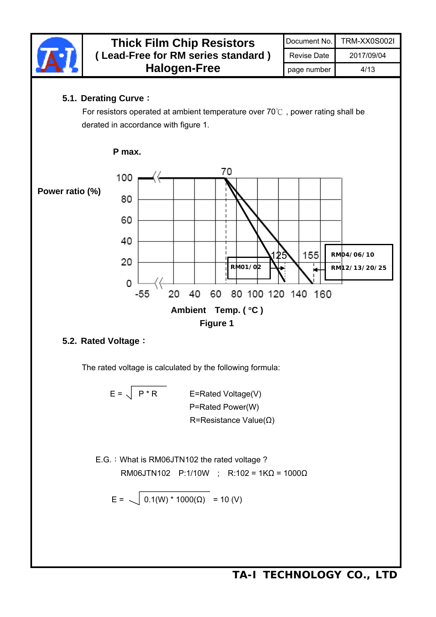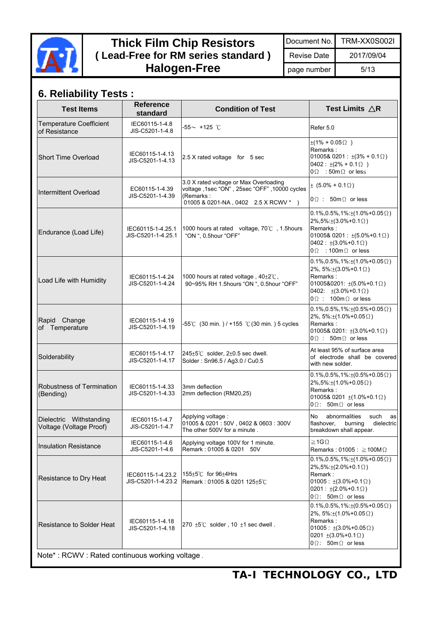

## **Thick Film Chip Resistors ( Lead**-**Free for RM series standard ) Halogen-Free**

Document No. TRM-XX0S002I

page number 5/13

Revise Date 2017/09/04

| <b>Test Items</b>                                  | <b>Reference</b><br>standard            | <b>Condition of Test</b>                                                                                                                      | Test Limits $\triangle$ R                                                                                                                                                                                         |
|----------------------------------------------------|-----------------------------------------|-----------------------------------------------------------------------------------------------------------------------------------------------|-------------------------------------------------------------------------------------------------------------------------------------------------------------------------------------------------------------------|
| <b>Temperature Coefficient</b><br>of Resistance    | IEC60115-1-4.8<br>JIS-C5201-1-4.8       | $-55$ $\sim$ +125 $^\circ$ C                                                                                                                  | Refer 5.0                                                                                                                                                                                                         |
| Short Time Overload                                | IEC60115-1-4.13<br>JIS-C5201-1-4.13     | 2.5 X rated voltage for 5 sec                                                                                                                 | $\pm(1\% + 0.05\Omega)$<br>Remarks:<br>01005& 0201 : $\pm(3\% + 0.1\Omega)$<br>$0402 : \pm(2\% + 0.1\Omega)$<br>$0\Omega$ : 50m $\Omega$ or less                                                                  |
| Intermittent Overload                              | EC60115-1-4.39<br>JIS-C5201-1-4.39      | 3.0 X rated voltage or Max Overloading<br>voltage ,1sec "ON" , 25sec "OFF" ,10000 cycles<br>(Remarks:<br>01005 & 0201-NA, 0402 2.5 X RCWV * ) | $\pm$ (5.0% + 0.1 $\Omega$ )<br>$0\Omega$ : 50m $\Omega$ or less                                                                                                                                                  |
| Endurance (Load Life)                              | IEC60115-1-4.25.1<br>JIS-C5201-1-4.25.1 | 1000 hours at rated voltage, 70°C, 1.5 hours<br>"ON ", 0.5hour "OFF"                                                                          | $0.1\%, 0.5\%, 1\% : \pm(1.0\% + 0.05 \Omega)$<br>$2\%, 5\% : \pm(3.0\% + 0.1\Omega)$<br>Remarks:<br>01005& 0201 : $\pm(5.0\%+0.1\Omega)$<br>$0402 : ±(3.0\% + 0.1 \Omega)$<br>$0 \Omega$ : 100m $\Omega$ or less |
| Load Life with Humidity                            | IEC60115-1-4.24<br>JIS-C5201-1-4.24     | 1000 hours at rated voltage, 40±2°C,<br>90~95% RH 1.5hours "ON ", 0.5hour "OFF"                                                               | $0.1\%, 0.5\%, 1\% \pm (1.0\% + 0.05 \Omega)$<br>2%, 5%: $\pm$ (3.0%+0.1 $\Omega$ )<br>Remarks:<br>01005&0201: $\pm(5.0\% + 0.1\Omega)$<br>0402: $\pm(3.0\% + 0.1\Omega)$<br>$0\Omega$ : 100m $\Omega$ or less    |
| Rapid Change<br>of Temperature                     | IEC60115-1-4.19<br>JIS-C5201-1-4.19     | -55℃ (30 min.) / +155 ℃ (30 min.) 5 cycles                                                                                                    | $0.1\%, 0.5\%, 1\% : \pm(0.5\% + 0.05\,\Omega)$<br>2%, $5\div(1.0\div0.05\Omega)$<br>Remarks:<br>01005& 0201: $\pm(3.0\% + 0.1\Omega)$<br>$0\Omega$ : 50m $\Omega$ or less                                        |
| Solderability                                      | IEC60115-1-4.17<br>JIS-C5201-1-4.17     | $245 \pm 5^{\circ}$ C solder, 2 $\pm$ 0.5 sec dwell.<br>Solder: Sn96.5 / Ag3.0 / Cu0.5                                                        | At least 95% of surface area<br>of electrode shall be covered<br>with new solder.                                                                                                                                 |
| Robustness of Termination<br>(Bending)             | IEC60115-1-4.33<br>JIS-C5201-1-4.33     | 3mm deflection<br>2mm deflection (RM20,25)                                                                                                    | $0.1\%, 0.5\%, 1\% : \pm(0.5\% + 0.05\Omega)$<br>$2\%, 5\% : \pm(1.0\% + 0.05\,\Omega)$<br>Remarks:<br>01005& 0201 $\pm$ (1.0%+0.1 $\Omega$ )<br>$0\Omega$ : 50m $\Omega$ or less                                 |
| Dielectric Withstanding<br>Voltage (Voltage Proof) | IEC60115-1-4.7<br>JIS-C5201-1-4.7       | Applying voltage:<br>01005 & 0201 : 50V, 0402 & 0603 : 300V<br>The other 500V for a minute.                                                   | No<br>abnormalities<br>such<br>as<br>flashover,<br>burning<br>dielectric<br>breakdown shall appear.                                                                                                               |
| <b>Insulation Resistance</b>                       | IEC60115-1-4.6<br>JIS-C5201-1-4.6       | Applying voltage 100V for 1 minute.<br>Remark: 01005 & 0201 50V                                                                               | $\geq$ 1G $\Omega$<br>Remarks: 01005 : $\geq$ 100M $\Omega$                                                                                                                                                       |
| Resistance to Dry Heat                             | IEC60115-1-4.23.2                       | 155±5℃ for 96±4Hrs<br>JIS-C5201-1-4.23.2 Remark: 01005 & 0201 125 $\pm$ 5°C                                                                   | $0.1\%, 0.5\%, 1\% : \pm(1.0\% + 0.05 \Omega)$<br>$2\%, 5\% : \pm (2.0\% + 0.1\Omega)$<br>Remark:<br>$01005 : \pm(3.0\% + 0.1\Omega)$<br>$0201 : ±(2.0\% + 0.1 \Omega)$<br>$0\Omega$ : 50m $\Omega$ or less       |
| Resistance to Solder Heat                          | IEC60115-1-4.18<br>JIS-C5201-1-4.18     | 270 $±5^{\circ}$ C solder, 10 $±1$ sec dwell.                                                                                                 | $0.1\%, 0.5\%, 1\% : \pm(0.5\% + 0.05\,\Omega)$<br>2%, 5%: $\pm$ (1.0%+0.05 $\Omega$ )<br>Remarks:<br>$01005 : \pm(3.0\% + 0.05 \Omega)$<br>0201 $\pm$ (3.0%+0.1 $\Omega$ )<br>$0\Omega$ : 50m $\Omega$ or less   |
| Note*: RCWV: Rated continuous working voltage.     |                                         |                                                                                                                                               |                                                                                                                                                                                                                   |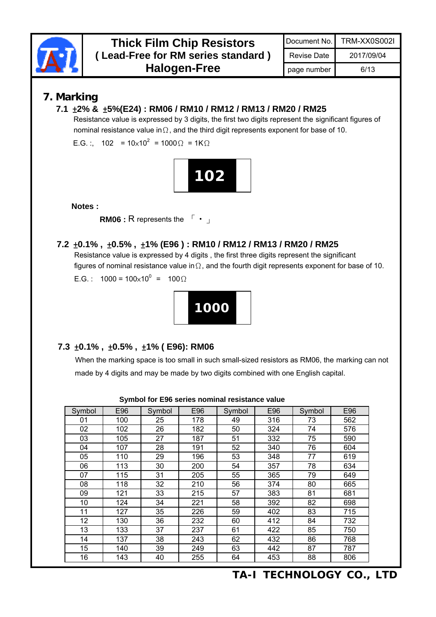

### **7. Marking**

#### **7.1** ±**2% &** ±**5%(E24) : RM06 / RM10 / RM12 / RM13 / RM20 / RM25**

Resistance value is expressed by 3 digits, the first two digits represent the significant figures of nominal resistance value inΩ, and the third digit represents exponent for base of 10.

E.G. :, 102 =  $10\times10^{2}$  =  $1000\Omega$  = 1K $\Omega$ 



**Notes :** 

RM06 : R represents the  $\begin{bmatrix} \cdot \\ \cdot \end{bmatrix}$ 

#### **7.2** ±**0.1% ,** ±**0.5% ,** ±**1% (E96 ) : RM10 / RM12 / RM13 / RM20 / RM25**

Resistance value is expressed by 4 digits , the first three digits represent the significant figures of nominal resistance value in $\Omega$ , and the fourth digit represents exponent for base of 10.

E.G.:  $1000 = 100 \times 10^{0} = 100 \Omega$ 



### **7.3** ±**0.1% ,** ±**0.5% ,** ±**1% ( E96): RM06**

When the marking space is too small in such small-sized resistors as RM06, the marking can not made by 4 digits and may be made by two digits combined with one English capital.

| Symbol | E96 | Symbol | E96 | Symbol | E96 | Symbol | E96 |
|--------|-----|--------|-----|--------|-----|--------|-----|
| 01     | 100 | 25     | 178 | 49     | 316 | 73     | 562 |
| 02     | 102 | 26     | 182 | 50     | 324 | 74     | 576 |
| 03     | 105 | 27     | 187 | 51     | 332 | 75     | 590 |
| 04     | 107 | 28     | 191 | 52     | 340 | 76     | 604 |
| 05     | 110 | 29     | 196 | 53     | 348 | 77     | 619 |
| 06     | 113 | 30     | 200 | 54     | 357 | 78     | 634 |
| 07     | 115 | 31     | 205 | 55     | 365 | 79     | 649 |
| 08     | 118 | 32     | 210 | 56     | 374 | 80     | 665 |
| 09     | 121 | 33     | 215 | 57     | 383 | 81     | 681 |
| 10     | 124 | 34     | 221 | 58     | 392 | 82     | 698 |
| 11     | 127 | 35     | 226 | 59     | 402 | 83     | 715 |
| 12     | 130 | 36     | 232 | 60     | 412 | 84     | 732 |
| 13     | 133 | 37     | 237 | 61     | 422 | 85     | 750 |
| 14     | 137 | 38     | 243 | 62     | 432 | 86     | 768 |
| 15     | 140 | 39     | 249 | 63     | 442 | 87     | 787 |
| 16     | 143 | 40     | 255 | 64     | 453 | 88     | 806 |

**Symbol for E96 series nominal resistance value**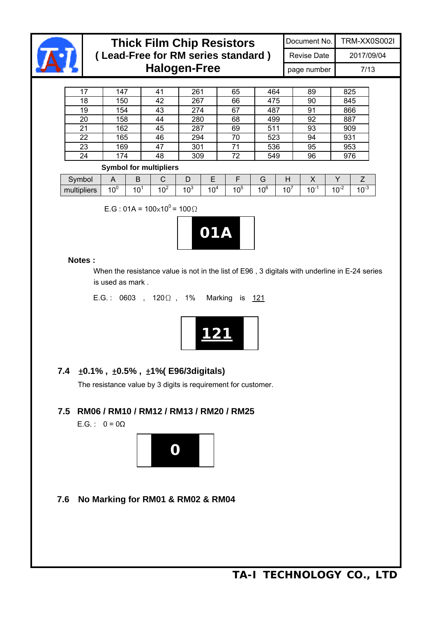

I I

I

### **Thick Film Chip Resistors ( Lead**-**Free for RM series standard ) Halogen-Free**

Document No. TRM-XX0S002I

Revise Date 2017/09/04 page number 7/13

17 | 147 | 41 | 261 | 65 | 464 | 89 | 825 18 150 42 267 66 475 90 845 19 154 43 274 67 487 91 866 20 158 44 280 68 499 92 887 21 162 45 287 69 511 93 909 22 165 46 294 70 523 94 931 23 169 47 301 71 536 95 953 24 174 48 309 72 549 96 976

#### **Symbol for multipliers**

|             | __         |                | .                                  |                |                 |           |                       |                       |                 |                  |                                    |
|-------------|------------|----------------|------------------------------------|----------------|-----------------|-----------|-----------------------|-----------------------|-----------------|------------------|------------------------------------|
| Symbol      |            | ◡              |                                    |                | -               |           | ີ                     |                       | . .             |                  |                                    |
| multipliers | ⊸∩∿<br>، ن | $\overline{0}$ | $\overline{\phantom{0}}$<br>Ω<br>u | $\sim$<br>ده ۰ | $\sqrt{4}$<br>v | ל ∩י<br>◡ | $\sim$<br>ı nb<br>1 V | -<br>$\sim$<br>◢<br>È | $\sim$ -<br>1 U | ∽<br>$-1$<br>1 V | $\sim$ - $\sim$<br>$\cdot$ $\circ$ |

E.G : 01A =  $100 \times 10^{0}$  =  $100 \Omega$ 



#### **Notes :**

When the resistance value is not in the list of E96 , 3 digitals with underline in E-24 series is used as mark .

E.G.: 0603, 120Ω, 1% Marking is 121



### **7.4** ±**0.1% ,** ±**0.5% ,** ±**1%( E96/3digitals)**

The resistance value by 3 digits is requirement for customer.

### **7.5 RM06 / RM10 / RM12 / RM13 / RM20 / RM25**

E.G. :  $0 = 0\Omega$ 



**7.6 No Marking for RM01 & RM02 & RM04**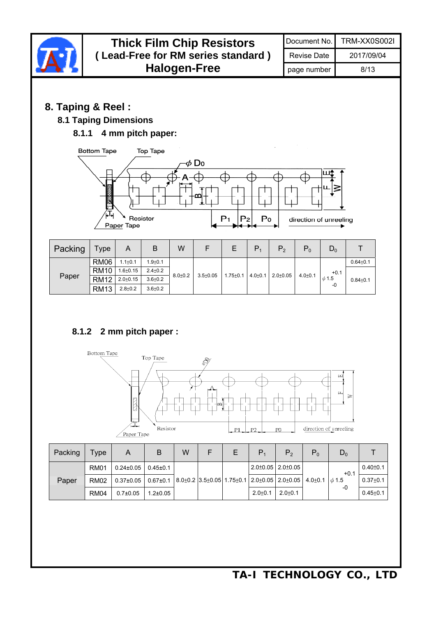

| Packing | Type        | A               | B              | W |  | $P_{4}$     | P <sub>2</sub>                                                             | $P_0$ | $D_0$  |                |
|---------|-------------|-----------------|----------------|---|--|-------------|----------------------------------------------------------------------------|-------|--------|----------------|
|         | <b>RM01</b> | $0.24 \pm 0.05$ | $0.45 \pm 0.1$ |   |  |             | $2.0 \pm 0.05$   2.0 $\pm$ 0.05                                            |       | $+0.1$ | $0.40 \pm 0.1$ |
| Paper   | <b>RM02</b> | $0.37{\pm}0.05$ | $0.67 + 0.1$   |   |  |             | $ 8.0\pm0.2 3.5\pm0.05 1.75\pm0.1 2.0\pm0.05 2.0\pm0.05 4.0\pm0.1 \phi1.5$ |       |        | $0.37 + 0.1$   |
|         | <b>RM04</b> | $0.7{\pm}0.05$  | $1.2{\pm}0.05$ |   |  | $2.0 + 0.1$ | $2.0 + 0.1$                                                                |       | -0     | $0.45 + 0.1$   |

 $P1$   $P2$ 

Resistor

Paper Tape

direction of unreeling

 $P<sub>0</sub>$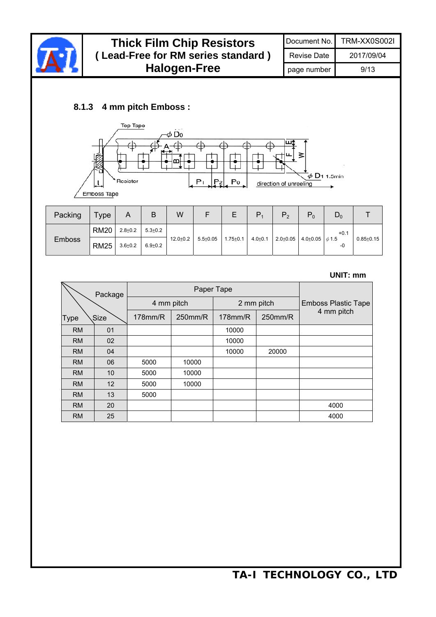

### **Thick Film Chip Resistors ( Lead**-**Free for RM series standard ) Halogen-Free**

### **8.1.3 4 mm pitch Emboss :**



| Packing       | Type        | A           | B             | W            |              | Ε              | P             | P <sub>2</sub> | $P_0$                                 | $\mathsf{D}_0$ |                 |
|---------------|-------------|-------------|---------------|--------------|--------------|----------------|---------------|----------------|---------------------------------------|----------------|-----------------|
| <b>Emboss</b> | <b>RM20</b> | $2.8 + 0.2$ | $5.3 \pm 0.2$ |              |              |                |               |                |                                       | $+0.1$         |                 |
|               | <b>RM25</b> | $3.6 + 0.2$ | $6.9 + 0.2$   | $12.0 + 0.2$ | $5.5 + 0.05$ | $1.75 \pm 0.1$ | $4.0{\pm}0.1$ |                | $2.0\pm0.05$ 4.0 $\pm0.05$ $\phi$ 1.5 | -0             | $0.85 \pm 0.15$ |

#### **UNIT: mm**

| V                   | Package |               |         | Paper Tape |            |                                          |  |
|---------------------|---------|---------------|---------|------------|------------|------------------------------------------|--|
|                     |         | 4 mm pitch    |         |            | 2 mm pitch | <b>Emboss Plastic Tape</b><br>4 mm pitch |  |
| <b>Type</b><br>Size |         | $178$ mm/ $R$ | 250mm/R | $178$ mm/R | 250mm/R    |                                          |  |
| <b>RM</b>           | 01      |               |         | 10000      |            |                                          |  |
| RM                  | 02      |               |         | 10000      |            |                                          |  |
| <b>RM</b>           | 04      |               |         | 10000      | 20000      |                                          |  |
| <b>RM</b>           | 06      | 5000          | 10000   |            |            |                                          |  |
| <b>RM</b>           | 10      | 5000          | 10000   |            |            |                                          |  |
| <b>RM</b>           | 12      | 5000          | 10000   |            |            |                                          |  |
| <b>RM</b>           | 13      | 5000          |         |            |            |                                          |  |
| <b>RM</b>           | 20      |               |         |            |            | 4000                                     |  |
| <b>RM</b>           | 25      |               |         |            |            | 4000                                     |  |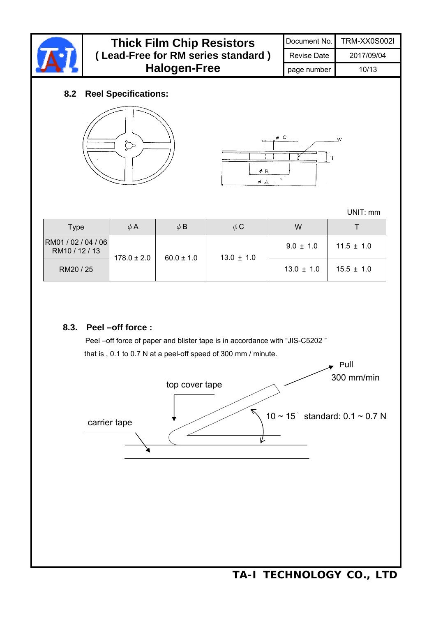

| <b>Thick Film Chip Resistors</b>   |                    | Document No. TRM-XX0S002I |
|------------------------------------|--------------------|---------------------------|
| (Lead-Free for RM series standard) | <b>Revise Date</b> | 2017/09/04                |
| <b>Halogen-Free</b>                | page number        | 10/13                     |

#### **8.2 Reel Specifications:**





UNIT: mm

| <b>Type</b>                           | $\phi$ A        | $\phi$ B       | $\phi$ C       | W              |                |
|---------------------------------------|-----------------|----------------|----------------|----------------|----------------|
| RM01 / 02 / 04 / 06<br>RM10 / 12 / 13 | $178.0 \pm 2.0$ |                |                | $9.0 \pm 1.0$  | $11.5 \pm 1.0$ |
| RM20 / 25                             |                 | $60.0 \pm 1.0$ | $13.0 \pm 1.0$ | $13.0 \pm 1.0$ | $15.5 \pm 1.0$ |

#### **8.3. Peel –off force :**

Peel –off force of paper and blister tape is in accordance with "JIS-C5202 " that is , 0.1 to 0.7 N at a peel-off speed of 300 mm / minute.

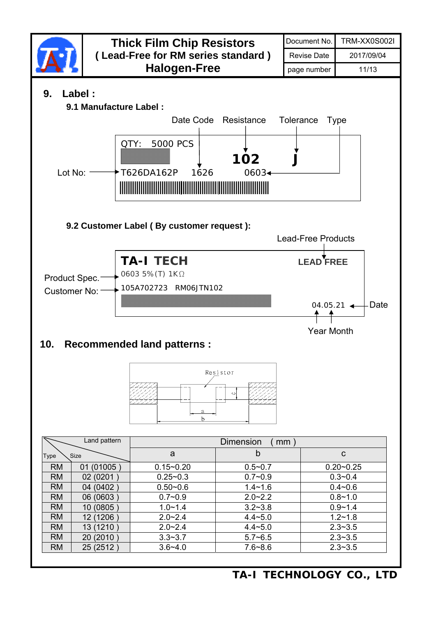

**TA-I TECHNOLOGY CO., LTD**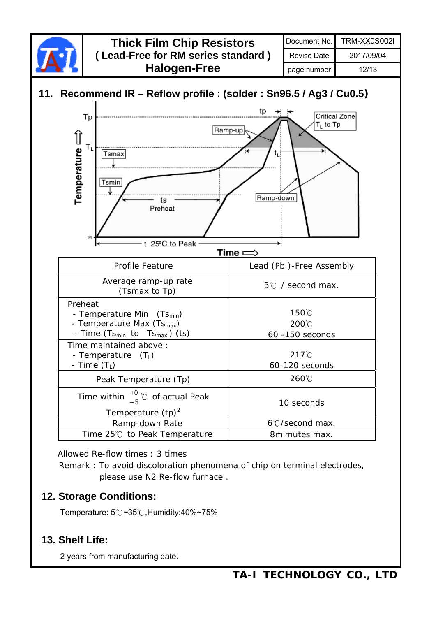

Allowed Re-flow times : 3 times

Remark : To avoid discoloration phenomena of chip on terminal electrodes, please use N2 Re-flow furnace .

### **12. Storage Conditions:**

Temperature: 5℃~35℃,Humidity:40%~75%

### **13. Shelf Life:**

2 years from manufacturing date.